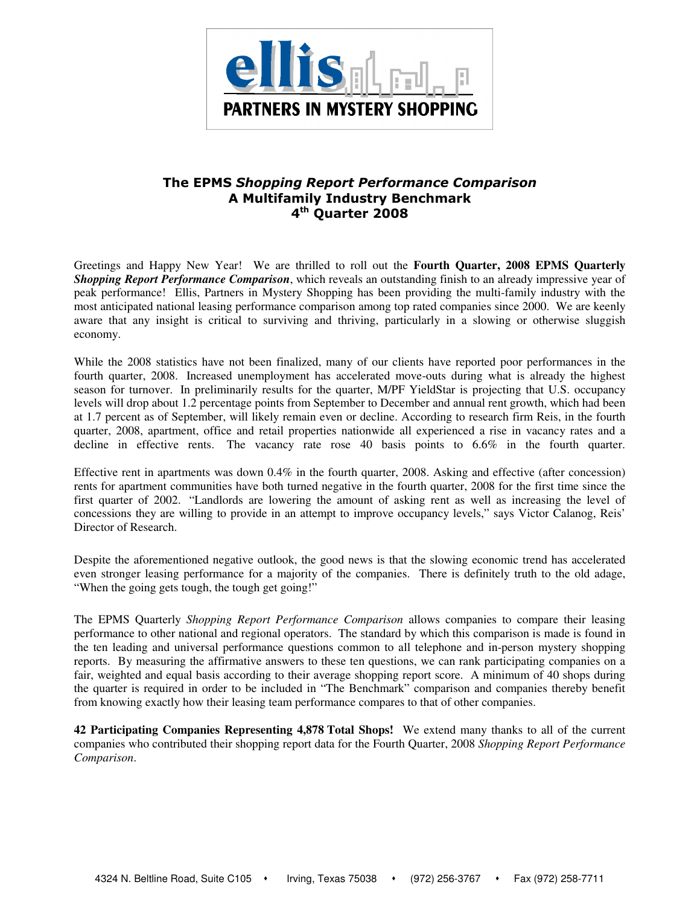

# The EPMS Shopping Report Performance Comparison A Multifamily Industry Benchmark 4<sup>th</sup> Quarter 2008

Greetings and Happy New Year! We are thrilled to roll out the **Fourth Quarter, 2008 EPMS Quarterly**  *Shopping Report Performance Comparison*, which reveals an outstanding finish to an already impressive year of peak performance! Ellis, Partners in Mystery Shopping has been providing the multi-family industry with the most anticipated national leasing performance comparison among top rated companies since 2000. We are keenly aware that any insight is critical to surviving and thriving, particularly in a slowing or otherwise sluggish economy.

While the 2008 statistics have not been finalized, many of our clients have reported poor performances in the fourth quarter, 2008. Increased unemployment has accelerated move-outs during what is already the highest season for turnover. In preliminarily results for the quarter, M/PF YieldStar is projecting that U.S. occupancy levels will drop about 1.2 percentage points from September to December and annual rent growth, which had been at 1.7 percent as of September, will likely remain even or decline. According to research firm Reis, in the fourth quarter, 2008, apartment, office and retail properties nationwide all experienced a rise in vacancy rates and a decline in effective rents. The vacancy rate rose 40 basis points to 6.6% in the fourth quarter.

Effective rent in apartments was down 0.4% in the fourth quarter, 2008. Asking and effective (after concession) rents for apartment communities have both turned negative in the fourth quarter, 2008 for the first time since the first quarter of 2002. "Landlords are lowering the amount of asking rent as well as increasing the level of concessions they are willing to provide in an attempt to improve occupancy levels," says Victor Calanog, Reis' Director of Research.

Despite the aforementioned negative outlook, the good news is that the slowing economic trend has accelerated even stronger leasing performance for a majority of the companies. There is definitely truth to the old adage, "When the going gets tough, the tough get going!"

The EPMS Quarterly *Shopping Report Performance Comparison* allows companies to compare their leasing performance to other national and regional operators. The standard by which this comparison is made is found in the ten leading and universal performance questions common to all telephone and in-person mystery shopping reports. By measuring the affirmative answers to these ten questions, we can rank participating companies on a fair, weighted and equal basis according to their average shopping report score. A minimum of 40 shops during the quarter is required in order to be included in "The Benchmark" comparison and companies thereby benefit from knowing exactly how their leasing team performance compares to that of other companies.

**42 Participating Companies Representing 4,878 Total Shops!** We extend many thanks to all of the current companies who contributed their shopping report data for the Fourth Quarter, 2008 *Shopping Report Performance Comparison*.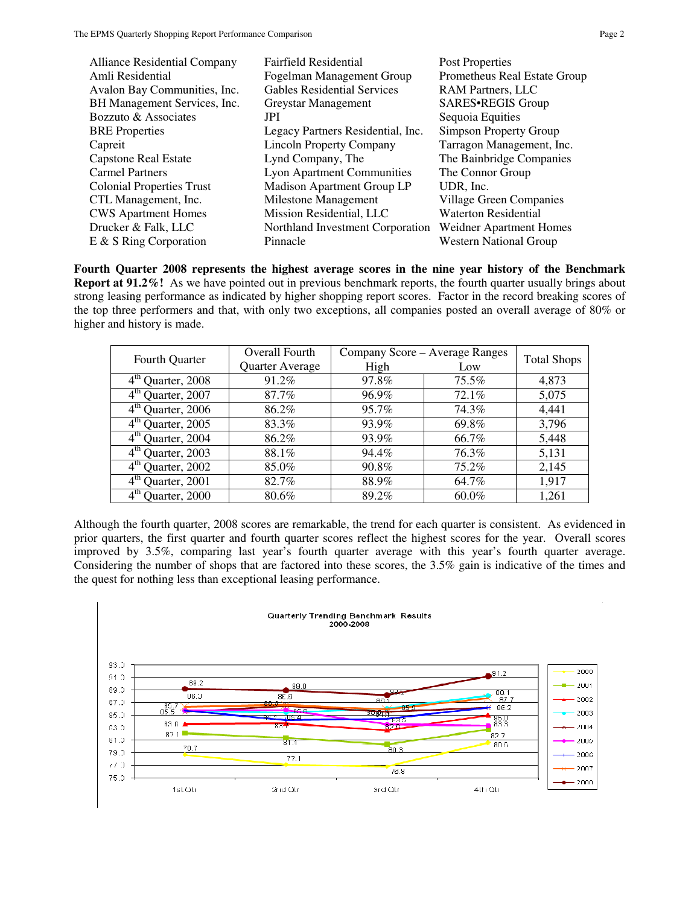| <b>Alliance Residential Company</b> | <b>Fairfield Residential</b>       | Post Properties                |
|-------------------------------------|------------------------------------|--------------------------------|
| Amli Residential                    | Fogelman Management Group          | Prometheus Real Estate Group   |
| Avalon Bay Communities, Inc.        | <b>Gables Residential Services</b> | <b>RAM Partners, LLC</b>       |
| BH Management Services, Inc.        | Greystar Management                | SARES.REGIS Group              |
| Bozzuto & Associates                | <b>JPI</b>                         | Sequoia Equities               |
| <b>BRE</b> Properties               | Legacy Partners Residential, Inc.  | <b>Simpson Property Group</b>  |
| Capreit                             | <b>Lincoln Property Company</b>    | Tarragon Management, Inc.      |
| <b>Capstone Real Estate</b>         | Lynd Company, The                  | The Bainbridge Companies       |
| <b>Carmel Partners</b>              | <b>Lyon Apartment Communities</b>  | The Connor Group               |
| <b>Colonial Properties Trust</b>    | Madison Apartment Group LP         | UDR, Inc.                      |
| CTL Management, Inc.                | Milestone Management               | Village Green Companies        |
| <b>CWS</b> Apartment Homes          | Mission Residential, LLC           | <b>Waterton Residential</b>    |
| Drucker & Falk, LLC                 | Northland Investment Corporation   | <b>Weidner Apartment Homes</b> |
| $E \& S$ Ring Corporation           | Pinnacle                           | <b>Western National Group</b>  |

**Fourth Quarter 2008 represents the highest average scores in the nine year history of the Benchmark Report at 91.2%!** As we have pointed out in previous benchmark reports, the fourth quarter usually brings about strong leasing performance as indicated by higher shopping report scores. Factor in the record breaking scores of the top three performers and that, with only two exceptions, all companies posted an overall average of 80% or higher and history is made.

|                                     | Overall Fourth  | Company Score – Average Ranges | <b>Total Shops</b> |       |
|-------------------------------------|-----------------|--------------------------------|--------------------|-------|
| Fourth Quarter                      | Quarter Average | High                           | Low                |       |
| $4th$ Quarter, 2008                 | 91.2%           | 97.8%                          | 75.5%              | 4,873 |
| $\overline{4^{th}}$ Quarter, 2007   | 87.7%           | 96.9%                          | 72.1%              | 5,075 |
| $\overline{4^{th}}$ Quarter, 2006   | 86.2%           | 95.7%                          | 74.3%              | 4,441 |
| $\overline{4^{th}}$ Quarter, 2005   | 83.3%           | 93.9%                          | 69.8%              | 3,796 |
| $\overline{4^{th}}$ Quarter, 2004   | 86.2%           | 93.9%                          | 66.7%              | 5,448 |
| $\overline{4^{th}}$ Quarter, 2003   | 88.1%           | 94.4%                          | 76.3%              | 5,131 |
| $4th$ Quarter, 2002                 | 85.0%           | 90.8%                          | 75.2%              | 2,145 |
| $\bar{4}^{\rm th}$<br>Quarter, 2001 | 82.7%           | 88.9%                          | 64.7%              | 1,917 |
| $4^{\text{th}}$<br>Quarter, 2000    | 80.6%           | 89.2%                          | 60.0%              | 1,261 |

Although the fourth quarter, 2008 scores are remarkable, the trend for each quarter is consistent. As evidenced in prior quarters, the first quarter and fourth quarter scores reflect the highest scores for the year. Overall scores improved by 3.5%, comparing last year's fourth quarter average with this year's fourth quarter average. Considering the number of shops that are factored into these scores, the 3.5% gain is indicative of the times and the quest for nothing less than exceptional leasing performance.

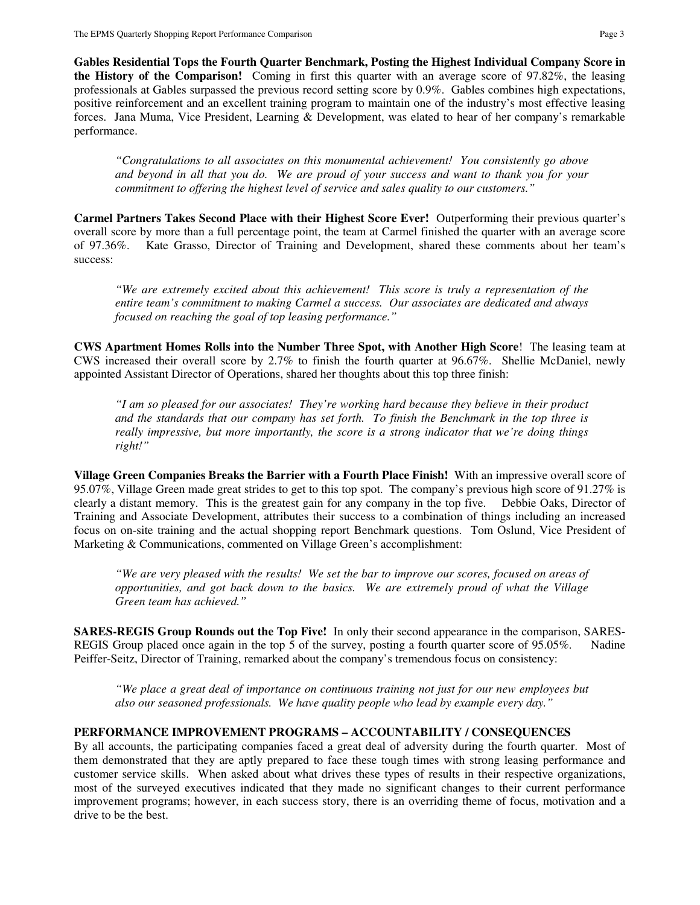**Gables Residential Tops the Fourth Quarter Benchmark, Posting the Highest Individual Company Score in the History of the Comparison!** Coming in first this quarter with an average score of 97.82%, the leasing professionals at Gables surpassed the previous record setting score by 0.9%. Gables combines high expectations, positive reinforcement and an excellent training program to maintain one of the industry's most effective leasing forces. Jana Muma, Vice President, Learning & Development, was elated to hear of her company's remarkable performance.

*"Congratulations to all associates on this monumental achievement! You consistently go above and beyond in all that you do. We are proud of your success and want to thank you for your commitment to offering the highest level of service and sales quality to our customers."* 

**Carmel Partners Takes Second Place with their Highest Score Ever!** Outperforming their previous quarter's overall score by more than a full percentage point, the team at Carmel finished the quarter with an average score of 97.36%. Kate Grasso, Director of Training and Development, shared these comments about her team's success:

*"We are extremely excited about this achievement! This score is truly a representation of the entire team's commitment to making Carmel a success. Our associates are dedicated and always focused on reaching the goal of top leasing performance."* 

**CWS Apartment Homes Rolls into the Number Three Spot, with Another High Score**! The leasing team at CWS increased their overall score by 2.7% to finish the fourth quarter at 96.67%. Shellie McDaniel, newly appointed Assistant Director of Operations, shared her thoughts about this top three finish:

*"I am so pleased for our associates! They're working hard because they believe in their product and the standards that our company has set forth. To finish the Benchmark in the top three is really impressive, but more importantly, the score is a strong indicator that we're doing things right!"* 

**Village Green Companies Breaks the Barrier with a Fourth Place Finish!** With an impressive overall score of 95.07%, Village Green made great strides to get to this top spot. The company's previous high score of 91.27% is clearly a distant memory. This is the greatest gain for any company in the top five. Debbie Oaks, Director of Training and Associate Development, attributes their success to a combination of things including an increased focus on on-site training and the actual shopping report Benchmark questions. Tom Oslund, Vice President of Marketing & Communications, commented on Village Green's accomplishment:

*"We are very pleased with the results! We set the bar to improve our scores, focused on areas of opportunities, and got back down to the basics. We are extremely proud of what the Village Green team has achieved."* 

**SARES-REGIS Group Rounds out the Top Five!** In only their second appearance in the comparison, SARES-REGIS Group placed once again in the top 5 of the survey, posting a fourth quarter score of 95.05%. Nadine Peiffer-Seitz, Director of Training, remarked about the company's tremendous focus on consistency:

*"We place a great deal of importance on continuous training not just for our new employees but also our seasoned professionals. We have quality people who lead by example every day."* 

# **PERFORMANCE IMPROVEMENT PROGRAMS – ACCOUNTABILITY / CONSEQUENCES**

By all accounts, the participating companies faced a great deal of adversity during the fourth quarter. Most of them demonstrated that they are aptly prepared to face these tough times with strong leasing performance and customer service skills. When asked about what drives these types of results in their respective organizations, most of the surveyed executives indicated that they made no significant changes to their current performance improvement programs; however, in each success story, there is an overriding theme of focus, motivation and a drive to be the best.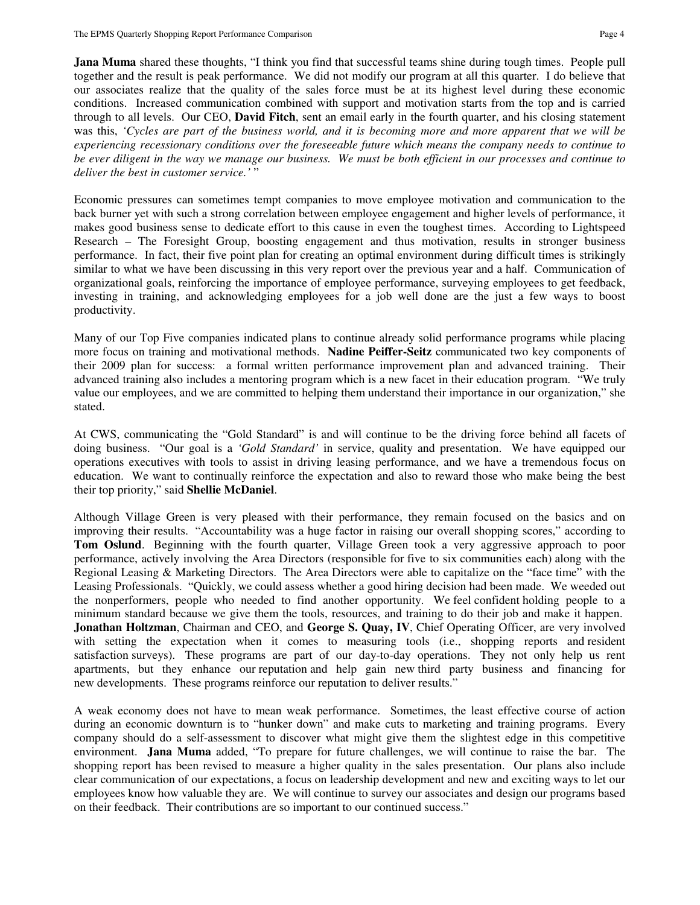**Jana Muma** shared these thoughts, "I think you find that successful teams shine during tough times. People pull together and the result is peak performance. We did not modify our program at all this quarter. I do believe that our associates realize that the quality of the sales force must be at its highest level during these economic conditions. Increased communication combined with support and motivation starts from the top and is carried through to all levels. Our CEO, **David Fitch**, sent an email early in the fourth quarter, and his closing statement was this, *'Cycles are part of the business world, and it is becoming more and more apparent that we will be experiencing recessionary conditions over the foreseeable future which means the company needs to continue to be ever diligent in the way we manage our business. We must be both efficient in our processes and continue to deliver the best in customer service.'* "

Economic pressures can sometimes tempt companies to move employee motivation and communication to the back burner yet with such a strong correlation between employee engagement and higher levels of performance, it makes good business sense to dedicate effort to this cause in even the toughest times. According to Lightspeed Research – The Foresight Group, boosting engagement and thus motivation, results in stronger business performance. In fact, their five point plan for creating an optimal environment during difficult times is strikingly similar to what we have been discussing in this very report over the previous year and a half. Communication of organizational goals, reinforcing the importance of employee performance, surveying employees to get feedback, investing in training, and acknowledging employees for a job well done are the just a few ways to boost productivity.

Many of our Top Five companies indicated plans to continue already solid performance programs while placing more focus on training and motivational methods. **Nadine Peiffer-Seitz** communicated two key components of their 2009 plan for success: a formal written performance improvement plan and advanced training. Their advanced training also includes a mentoring program which is a new facet in their education program. "We truly value our employees, and we are committed to helping them understand their importance in our organization," she stated.

At CWS, communicating the "Gold Standard" is and will continue to be the driving force behind all facets of doing business. "Our goal is a *'Gold Standard'* in service, quality and presentation. We have equipped our operations executives with tools to assist in driving leasing performance, and we have a tremendous focus on education. We want to continually reinforce the expectation and also to reward those who make being the best their top priority," said **Shellie McDaniel**.

Although Village Green is very pleased with their performance, they remain focused on the basics and on improving their results. "Accountability was a huge factor in raising our overall shopping scores," according to **Tom Oslund**. Beginning with the fourth quarter, Village Green took a very aggressive approach to poor performance, actively involving the Area Directors (responsible for five to six communities each) along with the Regional Leasing & Marketing Directors. The Area Directors were able to capitalize on the "face time" with the Leasing Professionals. "Quickly, we could assess whether a good hiring decision had been made. We weeded out the nonperformers, people who needed to find another opportunity. We feel confident holding people to a minimum standard because we give them the tools, resources, and training to do their job and make it happen. **Jonathan Holtzman**, Chairman and CEO, and **George S. Quay, IV**, Chief Operating Officer, are very involved with setting the expectation when it comes to measuring tools (i.e., shopping reports and resident satisfaction surveys). These programs are part of our day-to-day operations. They not only help us rent apartments, but they enhance our reputation and help gain new third party business and financing for new developments. These programs reinforce our reputation to deliver results."

A weak economy does not have to mean weak performance. Sometimes, the least effective course of action during an economic downturn is to "hunker down" and make cuts to marketing and training programs. Every company should do a self-assessment to discover what might give them the slightest edge in this competitive environment. **Jana Muma** added, "To prepare for future challenges, we will continue to raise the bar. The shopping report has been revised to measure a higher quality in the sales presentation. Our plans also include clear communication of our expectations, a focus on leadership development and new and exciting ways to let our employees know how valuable they are. We will continue to survey our associates and design our programs based on their feedback. Their contributions are so important to our continued success."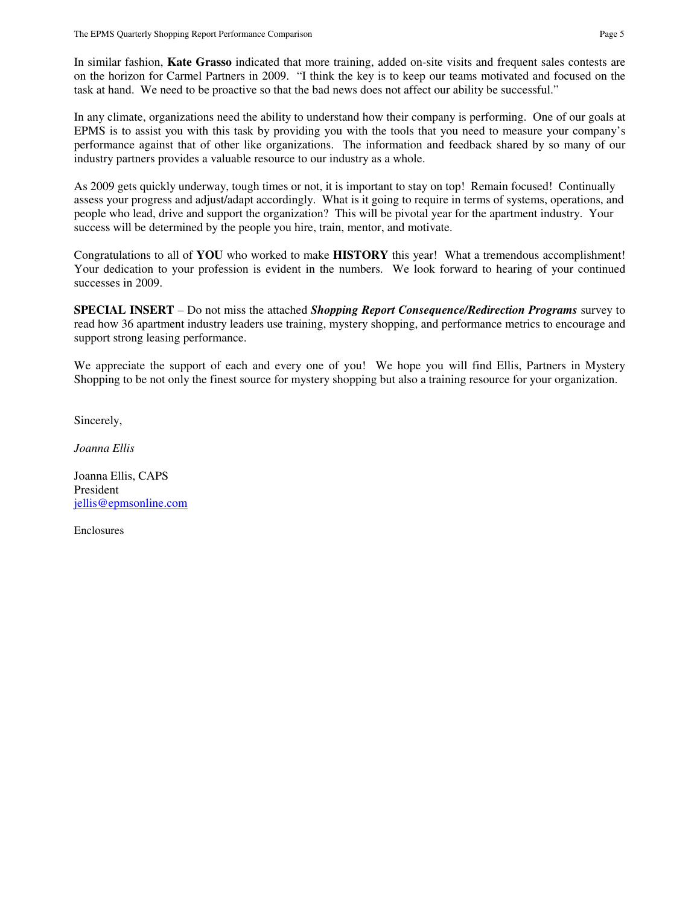In similar fashion, **Kate Grasso** indicated that more training, added on-site visits and frequent sales contests are on the horizon for Carmel Partners in 2009. "I think the key is to keep our teams motivated and focused on the task at hand. We need to be proactive so that the bad news does not affect our ability be successful."

In any climate, organizations need the ability to understand how their company is performing. One of our goals at EPMS is to assist you with this task by providing you with the tools that you need to measure your company's performance against that of other like organizations. The information and feedback shared by so many of our industry partners provides a valuable resource to our industry as a whole.

As 2009 gets quickly underway, tough times or not, it is important to stay on top! Remain focused! Continually assess your progress and adjust/adapt accordingly. What is it going to require in terms of systems, operations, and people who lead, drive and support the organization? This will be pivotal year for the apartment industry. Your success will be determined by the people you hire, train, mentor, and motivate.

Congratulations to all of **YOU** who worked to make **HISTORY** this year! What a tremendous accomplishment! Your dedication to your profession is evident in the numbers. We look forward to hearing of your continued successes in 2009.

**SPECIAL INSERT** – Do not miss the attached *Shopping Report Consequence/Redirection Programs* survey to read how 36 apartment industry leaders use training, mystery shopping, and performance metrics to encourage and support strong leasing performance.

We appreciate the support of each and every one of you! We hope you will find Ellis, Partners in Mystery Shopping to be not only the finest source for mystery shopping but also a training resource for your organization.

Sincerely,

*Joanna Ellis* 

Joanna Ellis, CAPS President jellis@epmsonline.com

Enclosures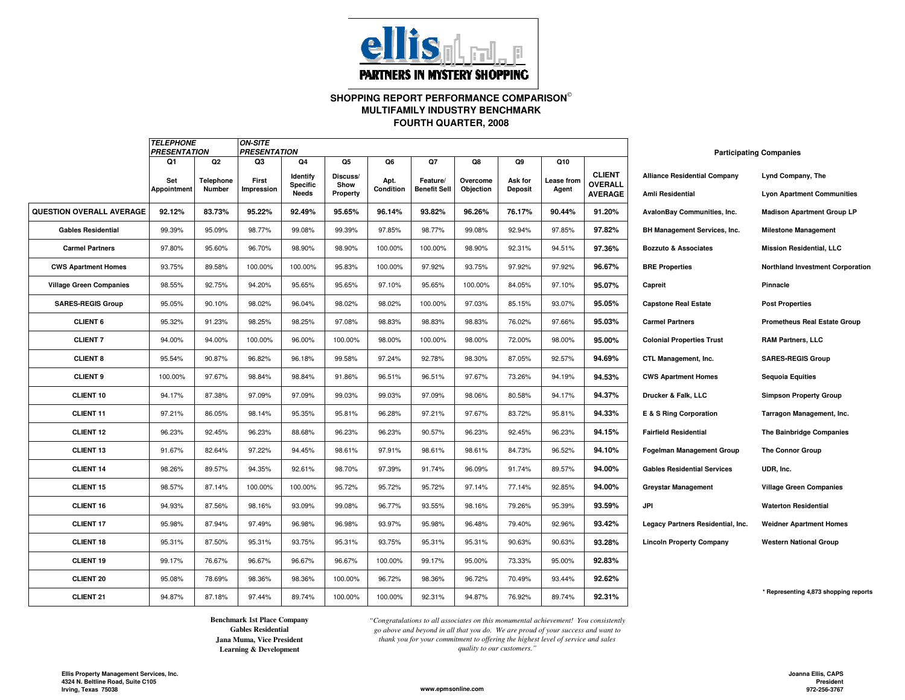

**SHOPPING REPORT PERFORMANCE COMPARISON**

**MULTIFAMILY INDUSTRY BENCHMARK**

#### **FOURTH QUARTER, 2008**

|                                | <b>TELEPHONE</b><br><b>PRESENTATION</b> |                                   | <b>ON-SITE</b>      | <b>PRESENTATION</b>                         |                |                   |                                 |                       |                           |                     | <b>Participating Companies</b> |                                     |                                         |
|--------------------------------|-----------------------------------------|-----------------------------------|---------------------|---------------------------------------------|----------------|-------------------|---------------------------------|-----------------------|---------------------------|---------------------|--------------------------------|-------------------------------------|-----------------------------------------|
|                                | Q1                                      | Q <sub>2</sub>                    | Q3                  | Q4                                          | Q5<br>Discuss/ | Q6                | Q7                              | Q8                    | Q9                        | Q10                 | <b>CLIENT</b>                  | <b>Alliance Residential Company</b> | Lynd Company, The                       |
|                                | Set<br>Appointment                      | <b>Telephone</b><br><b>Number</b> | First<br>Impression | Identify<br><b>Specific</b><br><b>Needs</b> | Show           | Apt.<br>Condition | Feature/<br><b>Benefit Sell</b> | Overcome<br>Objection | Ask for<br><b>Deposit</b> | Lease from<br>Agent | OVERALL                        | <b>Amli Residential</b>             |                                         |
|                                |                                         |                                   |                     |                                             | Property       |                   |                                 |                       |                           |                     | <b>AVERAGE</b>                 |                                     | <b>Lyon Apartment Communities</b>       |
| QUESTION OVERALL AVERAGE       | 92.12%                                  | 83.73%                            | 95.22%              | 92.49%                                      | 95.65%         | 96.14%            | 93.82%                          | 96.26%                | 76.17%                    | 90.44%              | 91.20%                         | AvalonBay Communities, Inc.         | <b>Madison Apartment Group LP</b>       |
| <b>Gables Residential</b>      | 99.39%                                  | 95.09%                            | 98.77%              | 99.08%                                      | 99.39%         | 97.85%            | 98.77%                          | 99.08%                | 92.94%                    | 97.85%              | 97.82%                         | <b>BH Management Services, Inc.</b> | <b>Milestone Management</b>             |
| <b>Carmel Partners</b>         | 97.80%                                  | 95.60%                            | 96.70%              | 98.90%                                      | 98.90%         | 100.00%           | 100.00%                         | 98.90%                | 92.31%                    | 94.51%              | 97.36%                         | <b>Bozzuto &amp; Associates</b>     | <b>Mission Residential, LLC</b>         |
| <b>CWS Apartment Homes</b>     | 93.75%                                  | 89.58%                            | 100.00%             | 100.00%                                     | 95.83%         | 100.00%           | 97.92%                          | 93.75%                | 97.92%                    | 97.92%              | 96.67%                         | <b>BRE Properties</b>               | <b>Northland Investment Corporation</b> |
| <b>Village Green Companies</b> | 98.55%                                  | 92.75%                            | 94.20%              | 95.65%                                      | 95.65%         | 97.10%            | 95.65%                          | 100.00%               | 84.05%                    | 97.10%              | 95.07%                         | Capreit                             | Pinnacle                                |
| <b>SARES-REGIS Group</b>       | 95.05%                                  | 90.10%                            | 98.02%              | 96.04%                                      | 98.02%         | 98.02%            | 100.00%                         | 97.03%                | 85.15%                    | 93.07%              | 95.05%                         | <b>Capstone Real Estate</b>         | <b>Post Properties</b>                  |
| <b>CLIENT 6</b>                | 95.32%                                  | 91.23%                            | 98.25%              | 98.25%                                      | 97.08%         | 98.83%            | 98.83%                          | 98.83%                | 76.02%                    | 97.66%              | 95.03%                         | <b>Carmel Partners</b>              | <b>Prometheus Real Estate Group</b>     |
| <b>CLIENT 7</b>                | 94.00%                                  | 94.00%                            | 100.00%             | 96.00%                                      | 100.00%        | 98.00%            | 100.00%                         | 98.00%                | 72.00%                    | 98.00%              | 95.00%                         | <b>Colonial Properties Trust</b>    | <b>RAM Partners, LLC</b>                |
| <b>CLIENT 8</b>                | 95.54%                                  | 90.87%                            | 96.82%              | 96.18%                                      | 99.58%         | 97.24%            | 92.78%                          | 98.30%                | 87.05%                    | 92.57%              | 94.69%                         | CTL Management, Inc.                | <b>SARES-REGIS Group</b>                |
| <b>CLIENT 9</b>                | 100.00%                                 | 97.67%                            | 98.84%              | 98.84%                                      | 91.86%         | 96.51%            | 96.51%                          | 97.67%                | 73.26%                    | 94.19%              | 94.53%                         | <b>CWS Apartment Homes</b>          | <b>Sequoia Equities</b>                 |
| <b>CLIENT 10</b>               | 94.17%                                  | 87.38%                            | 97.09%              | 97.09%                                      | 99.03%         | 99.03%            | 97.09%                          | 98.06%                | 80.58%                    | 94.17%              | 94.37%                         | Drucker & Falk, LLC                 | <b>Simpson Property Group</b>           |
| <b>CLIENT 11</b>               | 97.21%                                  | 86.05%                            | 98.14%              | 95.35%                                      | 95.81%         | 96.28%            | 97.21%                          | 97.67%                | 83.72%                    | 95.81%              | 94.33%                         | E & S Ring Corporation              | Tarragon Management, Inc.               |
| <b>CLIENT 12</b>               | 96.23%                                  | 92.45%                            | 96.23%              | 88.68%                                      | 96.23%         | 96.23%            | 90.57%                          | 96.23%                | 92.45%                    | 96.23%              | 94.15%                         | <b>Fairfield Residential</b>        | The Bainbridge Companies                |
| <b>CLIENT 13</b>               | 91.67%                                  | 82.64%                            | 97.22%              | 94.45%                                      | 98.61%         | 97.91%            | 98.61%                          | 98.61%                | 84.73%                    | 96.52%              | 94.10%                         | Fogelman Management Group           | <b>The Connor Group</b>                 |
| <b>CLIENT 14</b>               | 98.26%                                  | 89.57%                            | 94.35%              | 92.61%                                      | 98.70%         | 97.39%            | 91.74%                          | 96.09%                | 91.74%                    | 89.57%              | 94.00%                         | <b>Gables Residential Services</b>  | UDR, Inc.                               |
| <b>CLIENT 15</b>               | 98.57%                                  | 87.14%                            | 100.00%             | 100.00%                                     | 95.72%         | 95.72%            | 95.72%                          | 97.14%                | 77.14%                    | 92.85%              | 94.00%                         | <b>Greystar Management</b>          | <b>Village Green Companies</b>          |
| <b>CLIENT 16</b>               | 94.93%                                  | 87.56%                            | 98.16%              | 93.09%                                      | 99.08%         | 96.77%            | 93.55%                          | 98.16%                | 79.26%                    | 95.39%              | 93.59%                         | JPI                                 | <b>Waterton Residential</b>             |
| <b>CLIENT 17</b>               | 95.98%                                  | 87.94%                            | 97.49%              | 96.98%                                      | 96.98%         | 93.97%            | 95.98%                          | 96.48%                | 79.40%                    | 92.96%              | 93.42%                         | Legacy Partners Residential, Inc.   | <b>Weidner Apartment Homes</b>          |
| <b>CLIENT 18</b>               | 95.31%                                  | 87.50%                            | 95.31%              | 93.75%                                      | 95.31%         | 93.75%            | 95.31%                          | 95.31%                | 90.63%                    | 90.63%              | 93.28%                         | <b>Lincoln Property Company</b>     | <b>Western National Group</b>           |
| <b>CLIENT 19</b>               | 99.17%                                  | 76.67%                            | 96.67%              | 96.67%                                      | 96.67%         | 100.00%           | 99.17%                          | 95.00%                | 73.33%                    | 95.00%              | 92.83%                         |                                     |                                         |
| <b>CLIENT 20</b>               | 95.08%                                  | 78.69%                            | 98.36%              | 98.36%                                      | 100.00%        | 96.72%            | 98.36%                          | 96.72%                | 70.49%                    | 93.44%              | 92.62%                         |                                     |                                         |
| <b>CLIENT 21</b>               | 94.87%                                  | 87.18%                            | 97.44%              | 89.74%                                      | 100.00%        | 100.00%           | 92.31%                          | 94.87%                | 76.92%                    | 89.74%              | 92.31%                         |                                     | * Representing 4,873 shopping reports   |

**Gables Residential Jana Muma, Vice President Learning & DevelopmentBenchmark 1st Place Company**  *"Congratulations to all associates on this monumental achievement! You consistently go above and beyond in all that you do. We are proud of your success and want to thank you for your commitment to offering the highest level of service and sales quality to our customers."* 

**www.epmsonline.com**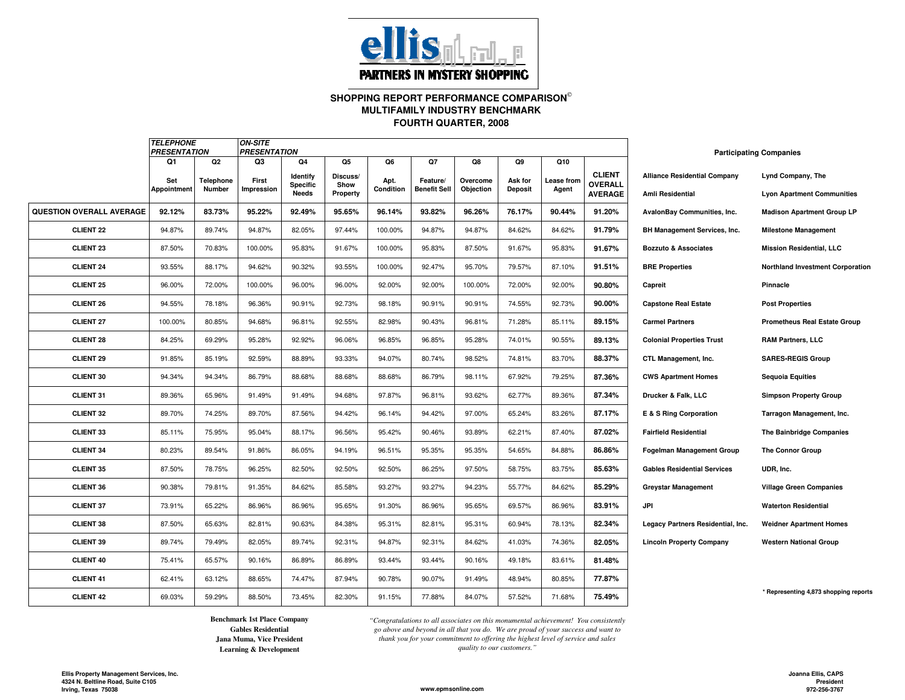

**SHOPPING REPORT PERFORMANCE COMPARISON**

**MULTIFAMILY INDUSTRY BENCHMARK**

#### **FOURTH QUARTER, 2008**

|                                 | <b>TELEPHONE</b><br><b>PRESENTATION</b> |                | <b>ON-SITE</b> | <b>PRESENTATION</b>         |                  |           |                     |           |                |                   |                          | <b>Participating Companies</b>      |                                         |  |
|---------------------------------|-----------------------------------------|----------------|----------------|-----------------------------|------------------|-----------|---------------------|-----------|----------------|-------------------|--------------------------|-------------------------------------|-----------------------------------------|--|
|                                 | Q1                                      | Q <sub>2</sub> | Q3             | Q4                          | Q5               | Q6        | Q7                  | Q8        | Q9             | Q10               |                          |                                     |                                         |  |
|                                 | Set                                     | Telephone      | First          | Identify<br><b>Specific</b> | Discuss/<br>Show | Apt.      | Feature/            | Overcome  | Ask for        | <b>Lease from</b> | <b>CLIENT</b><br>OVERALL | <b>Alliance Residential Company</b> | Lynd Company, The                       |  |
|                                 | Appointment                             | Number         | Impression     | <b>Needs</b>                | Property         | Condition | <b>Benefit Sell</b> | Objection | <b>Deposit</b> | Agent             | <b>AVERAGE</b>           | <b>Amli Residential</b>             | <b>Lyon Apartment Communities</b>       |  |
| <b>QUESTION OVERALL AVERAGE</b> | 92.12%                                  | 83.73%         | 95.22%         | 92.49%                      | 95.65%           | 96.14%    | 93.82%              | 96.26%    | 76.17%         | 90.44%            | 91.20%                   | AvalonBay Communities, Inc.         | <b>Madison Apartment Group LP</b>       |  |
| <b>CLIENT 22</b>                | 94.87%                                  | 89.74%         | 94.87%         | 82.05%                      | 97.44%           | 100.00%   | 94.87%              | 94.87%    | 84.62%         | 84.62%            | 91.79%                   | <b>BH Management Services, Inc.</b> | <b>Milestone Management</b>             |  |
| <b>CLIENT 23</b>                | 87.50%                                  | 70.83%         | 100.00%        | 95.83%                      | 91.67%           | 100.00%   | 95.83%              | 87.50%    | 91.67%         | 95.83%            | 91.67%                   | <b>Bozzuto &amp; Associates</b>     | <b>Mission Residential, LLC</b>         |  |
| <b>CLIENT 24</b>                | 93.55%                                  | 88.17%         | 94.62%         | 90.32%                      | 93.55%           | 100.00%   | 92.47%              | 95.70%    | 79.57%         | 87.10%            | 91.51%                   | <b>BRE Properties</b>               | <b>Northland Investment Corporation</b> |  |
| <b>CLIENT 25</b>                | 96.00%                                  | 72.00%         | 100.00%        | 96.00%                      | 96.00%           | 92.00%    | 92.00%              | 100.00%   | 72.00%         | 92.00%            | 90.80%                   | Capreit                             | Pinnacle                                |  |
| <b>CLIENT 26</b>                | 94.55%                                  | 78.18%         | 96.36%         | 90.91%                      | 92.73%           | 98.18%    | 90.91%              | 90.91%    | 74.55%         | 92.73%            | 90.00%                   | <b>Capstone Real Estate</b>         | <b>Post Properties</b>                  |  |
| <b>CLIENT 27</b>                | 100.00%                                 | 80.85%         | 94.68%         | 96.81%                      | 92.55%           | 82.98%    | 90.43%              | 96.81%    | 71.28%         | 85.11%            | 89.15%                   | <b>Carmel Partners</b>              | <b>Prometheus Real Estate Group</b>     |  |
| <b>CLIENT 28</b>                | 84.25%                                  | 69.29%         | 95.28%         | 92.92%                      | 96.06%           | 96.85%    | 96.85%              | 95.28%    | 74.01%         | 90.55%            | 89.13%                   | <b>Colonial Properties Trust</b>    | <b>RAM Partners, LLC</b>                |  |
| <b>CLIENT 29</b>                | 91.85%                                  | 85.19%         | 92.59%         | 88.89%                      | 93.33%           | 94.07%    | 80.74%              | 98.52%    | 74.81%         | 83.70%            | 88.37%                   | CTL Management, Inc.                | <b>SARES-REGIS Group</b>                |  |
| <b>CLIENT 30</b>                | 94.34%                                  | 94.34%         | 86.79%         | 88.68%                      | 88.68%           | 88.68%    | 86.79%              | 98.11%    | 67.92%         | 79.25%            | 87.36%                   | <b>CWS Apartment Homes</b>          | <b>Sequoia Equities</b>                 |  |
| <b>CLIENT 31</b>                | 89.36%                                  | 65.96%         | 91.49%         | 91.49%                      | 94.68%           | 97.87%    | 96.81%              | 93.62%    | 62.77%         | 89.36%            | 87.34%                   | Drucker & Falk, LLC                 | <b>Simpson Property Group</b>           |  |
| <b>CLIENT 32</b>                | 89.70%                                  | 74.25%         | 89.70%         | 87.56%                      | 94.42%           | 96.14%    | 94.42%              | 97.00%    | 65.24%         | 83.26%            | 87.17%                   | E & S Ring Corporation              | Tarragon Management, Inc.               |  |
| <b>CLIENT 33</b>                | 85.11%                                  | 75.95%         | 95.04%         | 88.17%                      | 96.56%           | 95.42%    | 90.46%              | 93.89%    | 62.21%         | 87.40%            | 87.02%                   | <b>Fairfield Residential</b>        | The Bainbridge Companies                |  |
| <b>CLIENT 34</b>                | 80.23%                                  | 89.54%         | 91.86%         | 86.05%                      | 94.19%           | 96.51%    | 95.35%              | 95.35%    | 54.65%         | 84.88%            | 86.86%                   | <b>Fogelman Management Group</b>    | <b>The Connor Group</b>                 |  |
| <b>CLEINT 35</b>                | 87.50%                                  | 78.75%         | 96.25%         | 82.50%                      | 92.50%           | 92.50%    | 86.25%              | 97.50%    | 58.75%         | 83.75%            | 85.63%                   | <b>Gables Residential Services</b>  | UDR, Inc.                               |  |
| <b>CLIENT 36</b>                | 90.38%                                  | 79.81%         | 91.35%         | 84.62%                      | 85.58%           | 93.27%    | 93.27%              | 94.23%    | 55.77%         | 84.62%            | 85.29%                   | <b>Greystar Management</b>          | <b>Village Green Companies</b>          |  |
| <b>CLIENT 37</b>                | 73.91%                                  | 65.22%         | 86.96%         | 86.96%                      | 95.65%           | 91.30%    | 86.96%              | 95.65%    | 69.57%         | 86.96%            | 83.91%                   | JPI                                 | <b>Waterton Residential</b>             |  |
| <b>CLIENT 38</b>                | 87.50%                                  | 65.63%         | 82.81%         | 90.63%                      | 84.38%           | 95.31%    | 82.81%              | 95.31%    | 60.94%         | 78.13%            | 82.34%                   | Legacy Partners Residential, Inc.   | <b>Weidner Apartment Homes</b>          |  |
| <b>CLIENT 39</b>                | 89.74%                                  | 79.49%         | 82.05%         | 89.74%                      | 92.31%           | 94.87%    | 92.31%              | 84.62%    | 41.03%         | 74.36%            | 82.05%                   | <b>Lincoln Property Company</b>     | <b>Western National Group</b>           |  |
| <b>CLIENT 40</b>                | 75.41%                                  | 65.57%         | 90.16%         | 86.89%                      | 86.89%           | 93.44%    | 93.44%              | 90.16%    | 49.18%         | 83.61%            | 81.48%                   |                                     |                                         |  |
| <b>CLIENT 41</b>                | 62.41%                                  | 63.12%         | 88.65%         | 74.47%                      | 87.94%           | 90.78%    | 90.07%              | 91.49%    | 48.94%         | 80.85%            | 77.87%                   |                                     |                                         |  |
| <b>CLIENT 42</b>                | 69.03%                                  | 59.29%         | 88.50%         | 73.45%                      | 82.30%           | 91.15%    | 77.88%              | 84.07%    | 57.52%         | 71.68%            | 75.49%                   |                                     | * Representing 4,873 shopping reports   |  |

**Learning & Development Jana Muma, Vice President Benchmark 1st Place CompanyGables Residential**

*"Congratulations to all associates on this monumental achievement! You consistently go above and beyond in all that you do. We are proud of your success and want to thank you for your commitment to offering the highest level of service and sales quality to our customers."* 

**www.epmsonline.com**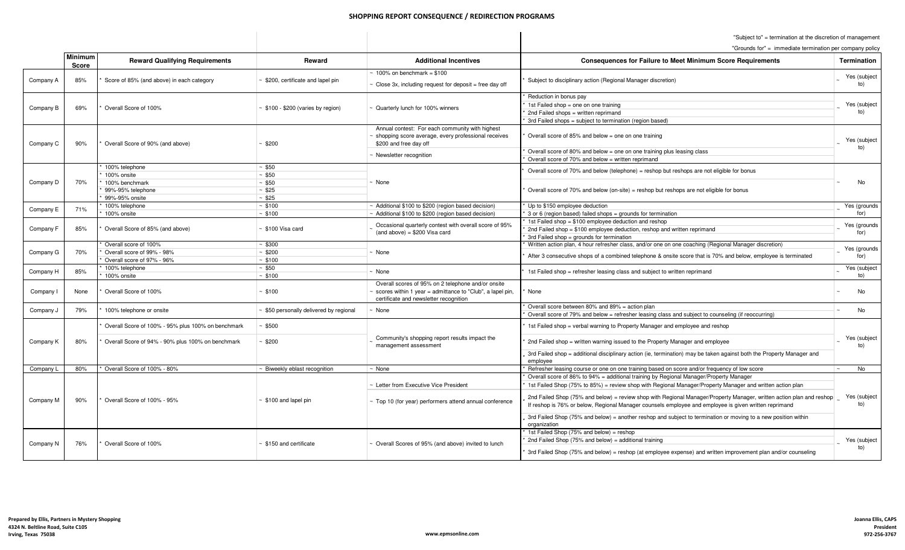"Subject to" = termination at the discretion of management

| "Grounds for" = immediate termination per company policy |  |  |  |  |
|----------------------------------------------------------|--|--|--|--|
|                                                          |  |  |  |  |

|                  | Minimum               | <b>Reward Qualifying Requirements</b>              | Reward                                               | <b>Additional Incentives</b>                                                                                                                              | <b>Consequences for Failure to Meet Minimum Score Requirements</b>                                                                                                                                                            | <b>Termination</b>   |  |
|------------------|-----------------------|----------------------------------------------------|------------------------------------------------------|-----------------------------------------------------------------------------------------------------------------------------------------------------------|-------------------------------------------------------------------------------------------------------------------------------------------------------------------------------------------------------------------------------|----------------------|--|
|                  | <b>Score</b>          |                                                    |                                                      |                                                                                                                                                           |                                                                                                                                                                                                                               |                      |  |
| 85%<br>Company A |                       |                                                    |                                                      | $\sim 100\%$ on benchmark = \$100                                                                                                                         |                                                                                                                                                                                                                               | Yes (subject         |  |
|                  |                       | Score of 85% (and above) in each category          | ~ \$200, certificate and lapel pin                   | $\sim$ Close 3x, including request for deposit = free day off                                                                                             | Subject to disciplinary action (Regional Manager discretion)                                                                                                                                                                  | to)                  |  |
|                  |                       |                                                    |                                                      |                                                                                                                                                           | Reduction in bonus pay                                                                                                                                                                                                        |                      |  |
| Company B<br>69% |                       | Overall Score of 100%                              | $\sim$ \$100 - \$200 (varies by region)              | ~ Quarterly lunch for 100% winners                                                                                                                        | 1st Failed shop = one on one training                                                                                                                                                                                         | Yes (subject         |  |
|                  |                       |                                                    |                                                      |                                                                                                                                                           | 2nd Failed shops = written reprimand                                                                                                                                                                                          |                      |  |
|                  |                       |                                                    |                                                      |                                                                                                                                                           | 3rd Failed shops = subject to termination (region based)                                                                                                                                                                      |                      |  |
| Company C        | 90%                   | Overall Score of 90% (and above)                   | \$200                                                | Annual contest: For each community with highest<br>shopping score average, every professional receives<br>\$200 and free day off                          | Overall score of 85% and below = one on one training                                                                                                                                                                          | Yes (subject<br>to)  |  |
|                  |                       |                                                    |                                                      | Newsletter recognition                                                                                                                                    | Overall score of 80% and below $=$ one on one training plus leasing class                                                                                                                                                     |                      |  |
|                  |                       |                                                    | $\sim$ \$50                                          |                                                                                                                                                           | Overall score of $70\%$ and below = written reprimand                                                                                                                                                                         |                      |  |
|                  |                       | 100% telephone                                     |                                                      |                                                                                                                                                           | Overall score of 70% and below (telephone) = reshop but reshops are not eligible for bonus                                                                                                                                    |                      |  |
| 70%<br>Company D |                       | 100% onsite                                        | ~1.550                                               |                                                                                                                                                           |                                                                                                                                                                                                                               |                      |  |
|                  |                       | 100% benchmark                                     | ~1.550                                               | $~\sim~$ None                                                                                                                                             |                                                                                                                                                                                                                               | No                   |  |
|                  |                       | 99%-95% telephone                                  | ~ $$25$                                              |                                                                                                                                                           | Overall score of 70% and below (on-site) = reshop but reshops are not eligible for bonus                                                                                                                                      |                      |  |
|                  |                       | 99%-95% onsite                                     | ~ $$25$                                              |                                                                                                                                                           |                                                                                                                                                                                                                               |                      |  |
| Company E        | 71%                   | 100% telephone                                     | $~\sim$ \$100                                        | ~ Additional \$100 to \$200 (region based decision)                                                                                                       | Up to \$150 employee deduction                                                                                                                                                                                                | Yes (grounds         |  |
|                  |                       | 100% onsite                                        | $~\sim$ \$100                                        | ~ Additional \$100 to \$200 (region based decision)                                                                                                       | 3 or 6 (region based) failed shops = grounds for termination                                                                                                                                                                  | for)                 |  |
| Company F        |                       | Overall Score of 85% (and above)                   | $~\sim$ \$100 Visa card                              | Occasional quarterly contest with overall score of 95%<br>(and above) = $$200$ Visa card                                                                  | 1st Failed shop = \$100 employee deduction and reshop                                                                                                                                                                         | Yes (grounds<br>for) |  |
|                  | 85%                   |                                                    |                                                      |                                                                                                                                                           | 2nd Failed shop = \$100 employee deduction, reshop and written reprimand                                                                                                                                                      |                      |  |
|                  |                       |                                                    |                                                      |                                                                                                                                                           | 3rd Failed shop = grounds for termination                                                                                                                                                                                     |                      |  |
|                  |                       | Overall score of 100%                              | ~5300                                                |                                                                                                                                                           | Written action plan, 4 hour refresher class, and/or one on one coaching (Regional Manager discretion)                                                                                                                         | Yes (grounds         |  |
| Company G        | 70%                   | Overall score of 99% - 98%                         | $~\sim~$200$                                         | ~ None                                                                                                                                                    | After 3 consecutive shops of a combined telephone & onsite score that is 70% and below, employee is terminated                                                                                                                | for)                 |  |
|                  |                       | Overall score of 97% - 96%                         | $~\sim$ \$100                                        |                                                                                                                                                           |                                                                                                                                                                                                                               |                      |  |
| Company H        | 85%                   | 100% telephone                                     | ~550                                                 | None                                                                                                                                                      | 1st Failed shop = refresher leasing class and subject to written reprimand                                                                                                                                                    | Yes (subject         |  |
|                  |                       | 100% onsite                                        | ~5100                                                |                                                                                                                                                           |                                                                                                                                                                                                                               | to)                  |  |
| Company I        | None                  | Overall Score of 100%                              | ~5100                                                | Overall scores of 95% on 2 telephone and/or onsite<br>scores within 1 year = admittance to "Club", a lapel pin,<br>certificate and newsletter recognition | None                                                                                                                                                                                                                          | <b>No</b>            |  |
| Company J        | 79%                   | 100% telephone or onsite                           | ~ \$50 personally delivered by regional              | None                                                                                                                                                      | Overall score between 80% and 89% = action plan                                                                                                                                                                               | <b>No</b>            |  |
|                  |                       |                                                    |                                                      |                                                                                                                                                           | Overall score of 79% and below = refresher leasing class and subject to counseling (if reoccurring)                                                                                                                           |                      |  |
|                  |                       | Overall Score of 100% - 95% plus 100% on benchmark | ~5500                                                |                                                                                                                                                           | 1st Failed shop = verbal warning to Property Manager and employee and reshop                                                                                                                                                  |                      |  |
| Company K        | 80%                   | Overall Score of 94% - 90% plus 100% on benchmark  | $-$ \$200                                            | Community's shopping report results impact the<br>management assessment                                                                                   | 2nd Failed shop = written warning issued to the Property Manager and employee                                                                                                                                                 | Yes (subject<br>to)  |  |
|                  |                       |                                                    |                                                      |                                                                                                                                                           | 3rd Failed shop = additional disciplinary action (ie, termination) may be taken against both the Property Manager and<br>employee                                                                                             |                      |  |
| Company L        | 80%                   | Overall Score of 100% - 80%                        | $\sim$ Biweekly eblast recognition                   | $\sim$ None                                                                                                                                               | Refresher leasing course or one on one training based on score and/or frequency of low score                                                                                                                                  | No<br>$\sim$         |  |
|                  |                       |                                                    |                                                      |                                                                                                                                                           | Overall score of 86% to 94% = additional training by Regional Manager/Property Manager                                                                                                                                        |                      |  |
|                  |                       |                                                    |                                                      | ~ Letter from Executive Vice President                                                                                                                    | 1st Failed Shop (75% to 85%) = review shop with Regional Manager/Property Manager and written action plan                                                                                                                     |                      |  |
| Company M        | 90%                   | Overall Score of 100% - 95%                        | $\sim$ \$100 and lapel pin                           | ~ Top 10 (for year) performers attend annual conference                                                                                                   | 2nd Failed Shop (75% and below) = review shop with Regional Manager/Property Manager, written action plan and reshop<br>If reshop is 76% or below, Regional Manager counsels employee and employee is given written reprimand | Yes (subject<br>to)  |  |
|                  |                       |                                                    |                                                      |                                                                                                                                                           | 3rd Failed Shop (75% and below) = another reshop and subject to termination or moving to a new position within<br>organization                                                                                                |                      |  |
|                  |                       |                                                    |                                                      |                                                                                                                                                           | 1st Failed Shop (75% and below) = reshop                                                                                                                                                                                      |                      |  |
|                  |                       |                                                    |                                                      |                                                                                                                                                           | 2nd Failed Shop (75% and below) = additional training                                                                                                                                                                         | Yes (subject         |  |
| 76%<br>Company N | Overall Score of 100% | $\sim$ \$150 and certificate                       | ~ Overall Scores of 95% (and above) invited to lunch | 3rd Failed Shop (75% and below) = reshop (at employee expense) and written improvement plan and/or counseling                                             | to)                                                                                                                                                                                                                           |                      |  |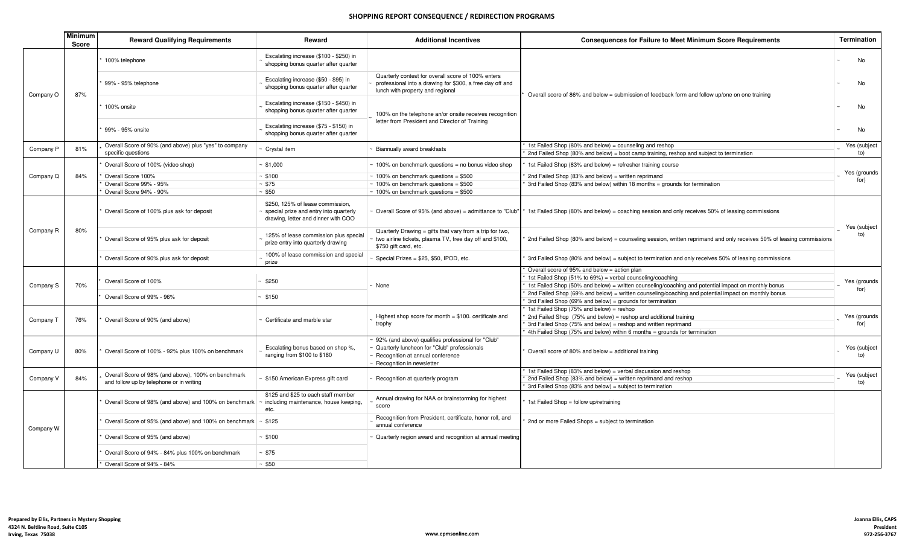## SHOPPING REPORT CONSEQUENCE / REDIRECTION PROGRAMS

|           | <b>Minimum</b><br>Score | <b>Reward Qualifying Requirements</b>                                        | Reward                                                                                                              | <b>Additional Incentives</b>                                                                                                                        | <b>Consequences for Failure to Meet Minimum Score Requirements</b>                                                                                 | <b>Termination</b>  |                                                         |                                                                  |              |
|-----------|-------------------------|------------------------------------------------------------------------------|---------------------------------------------------------------------------------------------------------------------|-----------------------------------------------------------------------------------------------------------------------------------------------------|----------------------------------------------------------------------------------------------------------------------------------------------------|---------------------|---------------------------------------------------------|------------------------------------------------------------------|--------------|
|           |                         | 100% telephone                                                               | Escalating increase (\$100 - \$250) in<br>shopping bonus quarter after quarter                                      |                                                                                                                                                     |                                                                                                                                                    | No                  |                                                         |                                                                  |              |
| Company O |                         | 99% - 95% telephone                                                          | Escalating increase (\$50 - \$95) in<br>shopping bonus quarter after quarter                                        | Quarterly contest for overall score of 100% enters<br>professional into a drawing for \$300, a free day off and<br>lunch with property and regional | Overall score of 86% and below = submission of feedback form and follow up/one on one training                                                     | No                  |                                                         |                                                                  |              |
|           | 87%                     | 100% onsite                                                                  | Escalating increase (\$150 - \$450) in<br>shopping bonus quarter after quarter                                      | 100% on the telephone an/or onsite receives recognition                                                                                             |                                                                                                                                                    | No                  |                                                         |                                                                  |              |
|           |                         | 99% - 95% onsite                                                             | Escalating increase (\$75 - \$150) in<br>shopping bonus quarter after quarter                                       | letter from President and Director of Training                                                                                                      |                                                                                                                                                    |                     |                                                         |                                                                  |              |
| Company P | 81%                     | Overall Score of 90% (and above) plus "yes" to company<br>specific questions | Crystal item                                                                                                        | - Biannually award breakfasts                                                                                                                       | 1st Failed Shop (80% and below) = counseling and reshop<br>2nd Failed Shop (80% and below) = boot camp training, reshop and subject to termination | Yes (subject<br>to) |                                                         |                                                                  |              |
|           |                         |                                                                              |                                                                                                                     |                                                                                                                                                     |                                                                                                                                                    |                     |                                                         |                                                                  |              |
| Company Q |                         | Overall Score of 100% (video shop)                                           | ~51,000                                                                                                             | $\sim$ 100% on benchmark questions = no bonus video shop                                                                                            | 1st Failed Shop (83% and below) = refresher training course                                                                                        | Yes (grounds        |                                                         |                                                                  |              |
|           | 84%                     | Overall Score 100%                                                           | $~\sim$ \$100                                                                                                       | $\sim$ 100% on benchmark questions = \$500                                                                                                          | 2nd Failed Shop (83% and below) = written reprimand                                                                                                |                     |                                                         |                                                                  |              |
|           |                         | Overall Score 99% - 95%                                                      | ~575                                                                                                                | $\sim$ 100% on benchmark questions = \$500                                                                                                          | 3rd Failed Shop (83% and below) within 18 months = grounds for termination                                                                         | for)                |                                                         |                                                                  |              |
|           |                         | Overall Score 94% - 90%                                                      | $~\sim~$50$                                                                                                         | $\sim$ 100% on benchmark questions = \$500                                                                                                          |                                                                                                                                                    |                     |                                                         |                                                                  |              |
| Company R | 80%                     | Overall Score of 100% plus ask for deposit                                   | \$250, 125% of lease commission,<br>- special prize and entry into quarterly<br>drawing, letter and dinner with COO | Overall Score of 95% (and above) = admittance to "Club"                                                                                             | 1st Failed Shop (80% and below) = coaching session and only receives 50% of leasing commissions                                                    |                     |                                                         |                                                                  |              |
|           |                         | Overall Score of 95% plus ask for deposit                                    | 125% of lease commission plus special<br>prize entry into quarterly drawing                                         | Quarterly Drawing = gifts that vary from a trip for two,<br>two airline tickets, plasma TV, free day off and \$100,<br>\$750 gift card, etc.        | 2nd Failed Shop (80% and below) = counseling session, written reprimand and only receives 50% of leasing commissions                               | Yes (subject<br>to) |                                                         |                                                                  |              |
|           |                         | Overall Score of 90% plus ask for deposit                                    | 100% of lease commission and special<br>prize                                                                       | Special Prizes = \$25, \$50, IPOD, etc.                                                                                                             | 3rd Failed Shop (80% and below) = subject to termination and only receives 50% of leasing commissions                                              |                     |                                                         |                                                                  |              |
|           |                         |                                                                              |                                                                                                                     |                                                                                                                                                     | Overall score of 95% and below = action plan                                                                                                       |                     |                                                         |                                                                  |              |
|           |                         |                                                                              |                                                                                                                     | · None                                                                                                                                              | 1st Failed Shop (51% to 69%) = verbal counseling/coaching                                                                                          |                     |                                                         |                                                                  |              |
| Company S | 70%                     | Overall Score of 100%                                                        | \$250                                                                                                               |                                                                                                                                                     | 1st Failed Shop (50% and below) = written counseling/coaching and potential impact on monthly bonus                                                | Yes (grounds        |                                                         |                                                                  |              |
|           |                         |                                                                              |                                                                                                                     |                                                                                                                                                     | 2nd Failed Shop (69% and below) = written counseling/coaching and potential impact on monthly bonus                                                | for)                |                                                         |                                                                  |              |
|           |                         | Overall Score of 99% - 96%                                                   | ~5150                                                                                                               |                                                                                                                                                     | 3rd Failed Shop (69% and below) = grounds for termination                                                                                          |                     |                                                         |                                                                  |              |
|           |                         |                                                                              |                                                                                                                     |                                                                                                                                                     | 1st Failed Shop (75% and below) = reshop                                                                                                           |                     |                                                         |                                                                  |              |
|           |                         | Overall Score of 90% (and above)                                             |                                                                                                                     |                                                                                                                                                     |                                                                                                                                                    |                     | Highest shop score for month $= $100$ . certificate and | 2nd Failed Shop (75% and below) = reshop and additional training | Yes (grounds |
| Company T | 76%                     |                                                                              | $\sim$ Certificate and marble star                                                                                  | trophy                                                                                                                                              | 3rd Failed Shop (75% and below) = reshop and written reprimand                                                                                     | for)                |                                                         |                                                                  |              |
|           |                         |                                                                              |                                                                                                                     |                                                                                                                                                     | 4th Failed Shop (75% and below) within 6 months = grounds for termination                                                                          |                     |                                                         |                                                                  |              |
|           |                         |                                                                              |                                                                                                                     | ~ 92% (and above) qualifies professional for "Club"                                                                                                 |                                                                                                                                                    |                     |                                                         |                                                                  |              |
| Company U | 80%                     | Overall Score of 100% - 92% plus 100% on benchmark                           | Escalating bonus based on shop %,<br>ranging from \$100 to \$180                                                    | Quarterly luncheon for "Club" professionals<br>~ Recognition at annual conference<br>- Recognition in newsletter                                    | Overall score of 80% and below = additional training                                                                                               | Yes (subject        |                                                         |                                                                  |              |
|           |                         |                                                                              |                                                                                                                     |                                                                                                                                                     | 1st Failed Shop (83% and below) = verbal discussion and reshop                                                                                     |                     |                                                         |                                                                  |              |
| Company V | 84%                     | Overall Score of 98% (and above), 100% on benchmark                          | - \$150 American Express gift card                                                                                  | - Recognition at quarterly program                                                                                                                  | 2nd Failed Shop (83% and below) = written reprimand and reshop                                                                                     | Yes (subject        |                                                         |                                                                  |              |
|           |                         | and follow up by telephone or in writing                                     |                                                                                                                     |                                                                                                                                                     | 3rd Failed Shop (83% and below) = subject to termination                                                                                           | to)                 |                                                         |                                                                  |              |
|           |                         | Overall Score of 98% (and above) and 100% on benchmark                       | \$125 and \$25 to each staff member<br>including maintenance, house keeping,<br>etc.                                | Annual drawing for NAA or brainstorming for highest<br>score                                                                                        | 1st Failed Shop = follow up/retraining                                                                                                             |                     |                                                         |                                                                  |              |
| Company W |                         | Overall Score of 95% (and above) and 100% on benchmark                       | ~5125                                                                                                               | Recognition from President, certificate, honor roll, and<br>annual conference                                                                       | 2nd or more Failed Shops = subject to termination                                                                                                  |                     |                                                         |                                                                  |              |
|           |                         | Overall Score of 95% (and above)                                             | ~5100                                                                                                               | - Quarterly region award and recognition at annual meeting                                                                                          |                                                                                                                                                    |                     |                                                         |                                                                  |              |
|           |                         | Overall Score of 94% - 84% plus 100% on benchmark                            | $~^{\circ}~\$75$                                                                                                    |                                                                                                                                                     |                                                                                                                                                    |                     |                                                         |                                                                  |              |
|           |                         | Overall Score of 94% - 84%                                                   | ~550                                                                                                                |                                                                                                                                                     |                                                                                                                                                    |                     |                                                         |                                                                  |              |